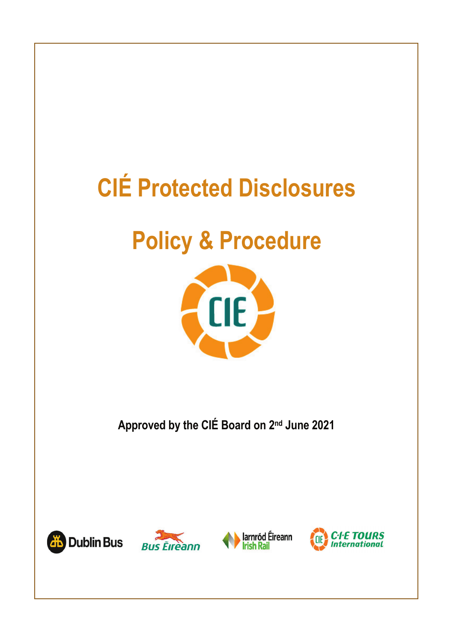# **CIÉ Protected Disclosures**

## **Policy & Procedure**



**Approved by the CIÉ Board on 2nd June 2021**







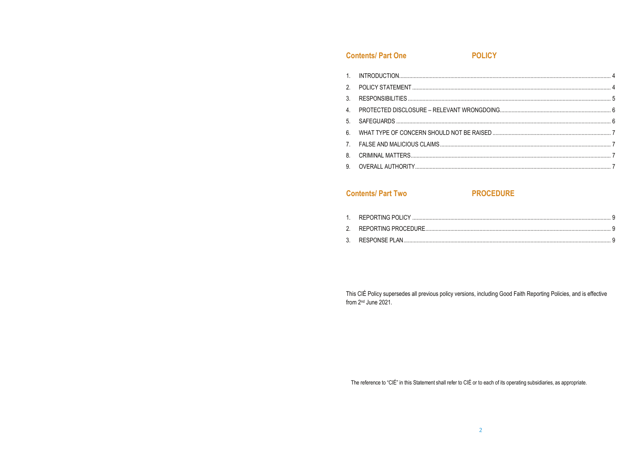### **Contents/Part One**

**POLICY** 

### **Contents/Part Two**

### **PROCEDURE**

This CIÉ Policy supersedes all previous policy versions, including Good Faith Reporting Policies, and is effective from 2<sup>nd</sup> June 2021.

The reference to "CIÉ" in this Statement shall refer to CIÉ or to each of its operating subsidiaries, as appropriate.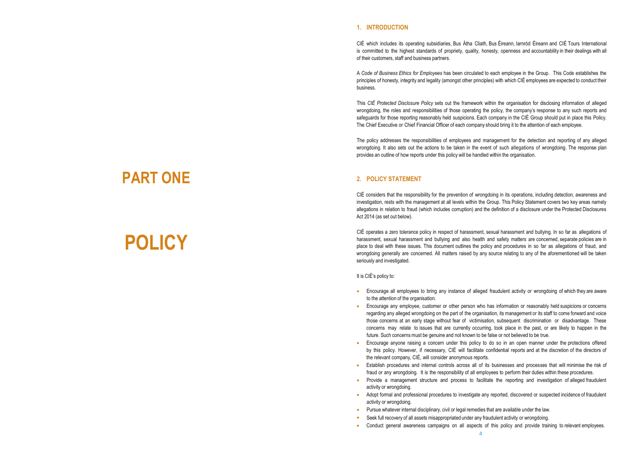#### **1. INTRODUCTION**

CIÉ which includes its operating subsidiaries, Bus Átha Cliath, Bus Éireann, Iarnród Éireann and CIÉ Tours International is committed to the highest standards of propriety, quality, honesty, openness and accountability in their dealings with all of their customers, staff and business partners.

A *Code of Business Ethics for Employees* has been circulated to each employee in the Group. This Code establishes the principles of honesty, integrity and legality (amongst other principles) with which CIÉ employees are expected to conduct their business.

This *CIÉ Protected Disclosure Policy* sets out the framework within the organisation for disclosing information of alleged wrongdoing, the roles and responsibilities of those operating the policy, the company's response to any such reports and safeguards for those reporting reasonably held suspicions. Each company in the CIÉ Group should put in place this Policy. The Chief Executive or Chief Financial Officer of each company should bring it to the attention of each employee.

The policy addresses the responsibilities of employees and management for the detection and reporting of any alleged wrongdoing. It also sets out the actions to be taken in the event of such allegations of wrongdoing. The response plan provides an outline of how reports under this policy will be handled within the organisation.

#### **2. POLICY STATEMENT**

CIÉ considers that the responsibility for the prevention of wrongdoing in its operations, including detection, awareness and investigation, rests with the management at all levels within the Group. This Policy Statement covers two key areas namely allegations in relation to fraud (which includes corruption) and the definition of a disclosure under the Protected Disclosures Act 2014 (as set out below).

CIÉ operates a zero tolerance policy in respect of harassment, sexual harassment and bullying. In so far as allegations of harassment, sexual harassment and bullying and also health and safety matters are concerned, separate policies are in place to deal with these issues. This document outlines the policy and procedures in so far as allegations of fraud, and wrongdoing generally are concerned. All matters raised by any source relating to any of the aforementioned will be taken seriously and investigated.

It is CIÉ's policy to:

- Encourage all employees to bring any instance of alleged fraudulent activity or wrongdoing of which they are aware to the attention of the organisation.
- Encourage any employee, customer or other person who has information or reasonably held suspicions or concerns regarding any alleged wrongdoing on the part of the organisation, its management or its staff to come forward and voice those concerns at an early stage without fear of victimisation, subsequent discrimination or disadvantage. These concerns may relate to issues that are currently occurring, took place in the past, or are likely to happen in the future. Such concerns must be genuine and not known to be false or not believed to be true.
- Encourage anyone raising a concern under this policy to do so in an open manner under the protections offered by this policy. However, if necessary, CIÉ will facilitate confidential reports and at the discretion of the directors of the relevant company, CIÉ, will consider anonymous reports.
- Establish procedures and internal controls across all of its businesses and processes that will minimise the risk of fraud or any wrongdoing. It is the responsibility of all employees to perform their duties within these procedures.
- Provide a management structure and process to facilitate the reporting and investigation of alleged fraudulent activity or wrongdoing.
- Adopt formal and professional procedures to investigate any reported, discovered or suspected incidence of fraudulent activity or wrongdoing.
- Pursue whatever internal disciplinary, civil or legal remedies that are available under the law.
- Seek full recovery of all assets misappropriated under any fraudulent activity or wrongdoing.
- Conduct general awareness campaigns on all aspects of this policy and provide training to relevant employees.

## **PART ONE**

# **POLICY**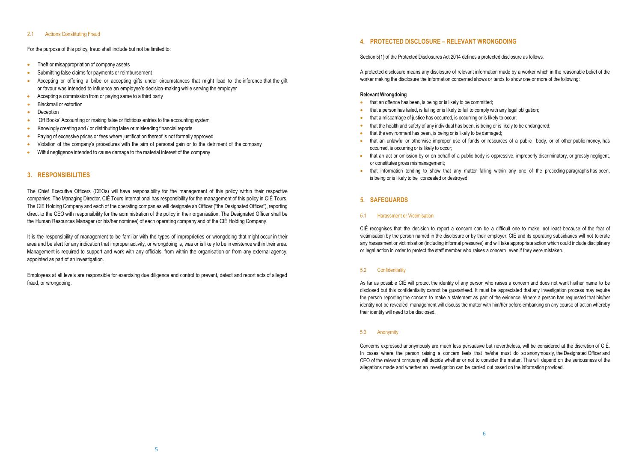#### 2.1 Actions Constituting Fraud

#### For the purpose of this policy, fraud shall include but not be limited to:

- Theft or misappropriation of company assets
- Submitting false claims for payments or reimbursement
- Accepting or offering a bribe or accepting gifts under circumstances that might lead to the inference that the gift or favour was intended to influence an employee's decision-making while serving the employer
- Accepting a commission from or paying same to a third party
- Blackmail or extortion
- Deception
- 'Off Books' Accounting or making false or fictitious entries to the accounting system
- Knowingly creating and / or distributing false or misleading financial reports
- Paying of excessive prices or fees where justification thereof is not formally approved
- Violation of the company's procedures with the aim of personal gain or to the detriment of the company
- Wilful negligence intended to cause damage to the material interest of the company

#### **3. RESPONSIBILITIES**

The Chief Executive Officers (CEOs) will have responsibility for the management of this policy within their respective companies. The Managing Director, CIÉ Tours International has responsibility for the management of this policy in CIÉ Tours. The CIÉ Holding Company and each of the operating companies will designate an Officer ("the Designated Officer"), reporting direct to the CEO with responsibility for the administration of the policy in their organisation. The Designated Officer shall be the Human Resources Manager (or his/her nominee) of each operating company and of the CIÉ Holding Company.

It is the responsibility of management to be familiar with the types of improprieties or wrongdoing that might occur in their area and be alert for any indication that improper activity, or wrongdoing is, was or is likely to be in existence within their area. Management is required to support and work with any officials, from within the organisation or from any external agency, appointed as part of an investigation.

Employees at all levels are responsible for exercising due diligence and control to prevent, detect and report acts of alleged fraud, or wrongdoing.

#### **4. PROTECTED DISCLOSURE – RELEVANT WRONGDOING**

Section 5(1) of the Protected Disclosures Act 2014 defines a protected disclosure as follows.

A protected disclosure means any disclosure of relevant information made by a worker which in the reasonable belief of the worker making the disclosure the information concerned shows or tends to show one or more of the following:

#### **Relevant Wrongdoing**

- that an offence has been, is being or is likely to be committed;
- that a person has failed, is failing or is likely to fail to comply with any legal obligation;
- that a miscarriage of justice has occurred, is occurring or is likely to occur;
- that the health and safety of any individual has been, is being or is likely to be endangered;
- that the environment has been, is being or is likely to be damaged;
- that an unlawful or otherwise improper use of funds or resources of a public body, or of other public money, has occurred, is occurring or is likely to occur;
- that an act or omission by or on behalf of a public body is oppressive, improperly discriminatory, or grossly negligent, or constitutes gross mismanagement;
- that information tending to show that any matter falling within any one of the preceding paragraphs has been, is being or is likely to be concealed or destroyed.

#### **5. SAFEGUARDS**

#### 5.1 Harassment or Victimisation

CIÉ recognises that the decision to report a concern can be a difficult one to make, not least because of the fear of victimisation by the person named in the disclosure or by their employer. CIÉ and its operating subsidiaries will not tolerate any harassment or victimisation (including informal pressures) and will take appropriate action which could include disciplinary or legal action in order to protect the staff member who raises a concern even if they were mistaken.

#### 5.2 Confidentiality

As far as possible CIÉ will protect the identity of any person who raises a concern and does not want his/her name to be disclosed but this confidentiality cannot be guaranteed. It must be appreciated that any investigation process may require the person reporting the concern to make a statement as part of the evidence. Where a person has requested that his/her identity not be revealed, management will discuss the matter with him/her before embarking on any course of action whereby their identity will need to be disclosed.

#### 5.3 Anonymity

Concerns expressed anonymously are much less persuasive but nevertheless, will be considered at the discretion of CIÉ. In cases where the person raising a concern feels that he/she must do so anonymously, the Designated Officer and CEO of the relevant company will decide whether or not to consider the matter. This will depend on the seriousness of the allegations made and whether an investigation can be carried out based on the information provided.

6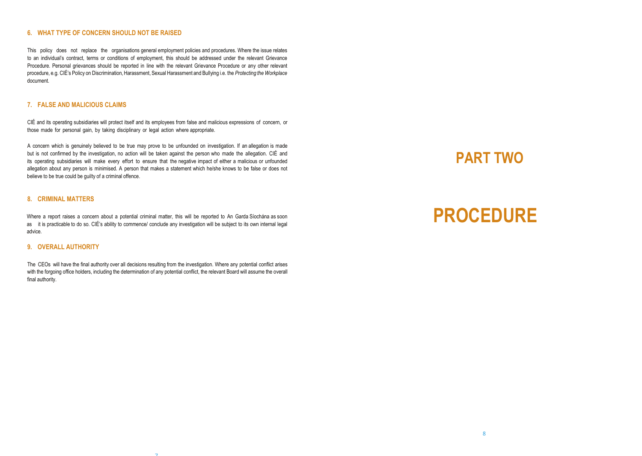#### **6. WHAT TYPE OF CONCERN SHOULD NOT BE RAISED**

This policy does not replace the organisations general employment policies and procedures. Where the issue relates to an individual's contract, terms or conditions of employment, this should be addressed under the relevant Grievance Procedure. Personal grievances should be reported in line with the relevant Grievance Procedure or any other relevant procedure, e.g. CIÉ's Policy on Discrimination,Harassment, Sexual Harassment and Bullying i.e. the *Protecting the Workplace* document.

#### **7. FALSE AND MALICIOUS CLAIMS**

CIÉ and its operating subsidiaries will protect itself and its employees from false and malicious expressions of concern, or those made for personal gain, by taking disciplinary or legal action where appropriate.

A concern which is genuinely believed to be true may prove to be unfounded on investigation. If an allegation is made but is not confirmed by the investigation, no action will be taken against the person who made the allegation. CIÉ and its operating subsidiaries will make every effort to ensure that the negative impact of either a malicious or unfounded allegation about any person is minimised. A person that makes a statement which he/she knows to be false or does not believe to be true could be guilty of a criminal offence.

#### **8. CRIMINAL MATTERS**

Where a report raises a concern about a potential criminal matter, this will be reported to An Garda Síochána as soon as it is practicable to do so. CIÉ's ability to commence/ conclude any investigation will be subject to its own internal legal advice.

#### **9. OVERALL AUTHORITY**

The CEOs will have the final authority over all decisions resulting from the investigation. Where any potential conflict arises with the forgoing office holders, including the determination of any potential conflict, the relevant Board will assume the overall final authority.

5

### **PART TWO**

# **PROCEDURE**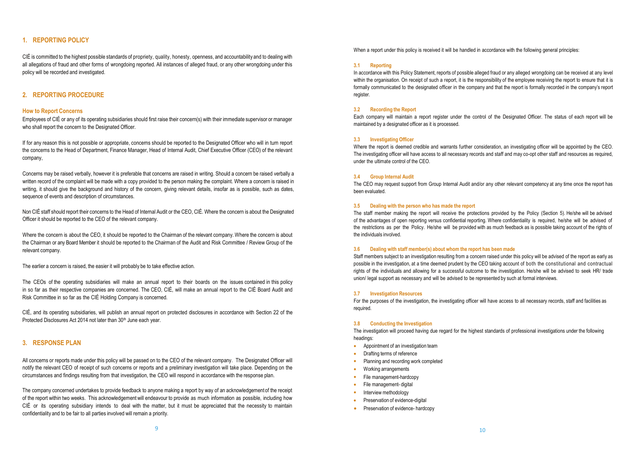#### **1. REPORTING POLICY**

CIÉ is committed to the highest possible standards of propriety, quality, honesty, openness, and accountability and to dealing with all allegations of fraud and other forms of wrongdoing reported. All instances of alleged fraud, or any other wrongdoing under this policy will be recorded and investigated.

#### **2. REPORTING PROCEDURE**

#### **How to Report Concerns**

Employees of CIÉ or any of its operating subsidiaries should first raise their concern(s) with their immediate supervisor or manager who shall report the concern to the Designated Officer.

If for any reason this is not possible or appropriate, concerns should be reported to the Designated Officer who will in turn report the concerns to the Head of Department, Finance Manager, Head of Internal Audit, Chief Executive Officer (CEO) of the relevant company,

Concerns may be raised verbally, however it is preferable that concerns are raised in writing. Should a concern be raised verbally a written record of the complaint will be made with a copy provided to the person making the complaint. Where a concern is raised in writing, it should give the background and history of the concern, giving relevant details, insofar as is possible, such as dates, sequence of events and description of circumstances.

Non CIÉ staff should report their concerns to the Head of Internal Audit or the CEO, CIÉ. Where the concern is about the Designated Officer it should be reported to the CEO of the relevant company.

Where the concern is about the CEO, it should be reported to the Chairman of the relevant company. Where the concern is about the Chairman or any Board Member it should be reported to the Chairman of the Audit and Risk Committee / Review Group of the relevant company.

The earlier a concern is raised, the easier it will probably be to take effective action.

The CEOs of the operating subsidiaries will make an annual report to their boards on the issues contained in this policy in so far as their respective companies are concerned. The CEO, CIÉ, will make an annual report to the CIÉ Board Audit and Risk Committee in so far as the CIÉ Holding Company is concerned.

CIÉ, and its operating subsidiaries, will publish an annual report on protected disclosures in accordance with Section 22 of the Protected Disclosures Act 2014 not later than 30<sup>th</sup> June each year.

#### **3. RESPONSE PLAN**

All concerns or reports made under this policy will be passed on to the CEO of the relevant company. The Designated Officer will notify the relevant CEO of receipt of such concerns or reports and a preliminary investigation will take place. Depending on the circumstances and findings resulting from that investigation, the CEO will respond in accordance with the response plan.

The company concerned undertakes to provide feedback to anyone making a report by way of an acknowledgement of the receipt of the report within two weeks. This acknowledgement will endeavour to provide as much information as possible, including how CIÉ or its operating subsidiary intends to deal with the matter, but it must be appreciated that the necessity to maintain confidentiality and to be fair to all parties involved will remain a priority.

When a report under this policy is received it will be handled in accordance with the following general principles:

#### **3.1 Reporting**

In accordance with this Policy Statement, reports of possible alleged fraud or any alleged wrongdoing can be received at any level within the organisation. On receipt of such a report, it is the responsibility of the employee receiving the report to ensure that it is formally communicated to the designated officer in the company and that the report is formally recorded in the company's report register.

#### **3.2 Recording the Report**

Each company will maintain a report register under the control of the Designated Officer. The status of each report will be maintained by a designated officer as it is processed.

#### **3.3 Investigating Officer**

Where the report is deemed credible and warrants further consideration, an investigating officer will be appointed by the CEO. The investigating officer will have access to all necessary records and staff and may co-opt other staff and resources as required, under the ultimate control of the CEO.

#### **3.4 Group Internal Audit**

The CEO may request support from Group Internal Audit and/or any other relevant competency at any time once the report has been evaluated.

#### **3.5 Dealing with the person who has made the report**

The staff member making the report will receive the protections provided by the Policy (Section 5). He/she will be advised of the advantages of open reporting versus confidential reporting. Where confidentiality is required, he/she will be advised of the restrictions as per the Policy. He/she will be provided with as much feedback as is possible taking account of the rights of the individuals involved.

#### **3.6 Dealing with staff member(s) about whom the report has been made**

Staff members subject to an investigation resulting from a concern raised under this policy will be advised of the report as early as possible in the investigation, at a time deemed prudent by the CEO taking account of both the constitutional and contractual rights of the individuals and allowing for a successful outcome to the investigation. He/she will be advised to seek HR/ trade union/ legal support as necessary and will be advised to be represented by such at formal interviews.

#### **3.7 Investigation Resources**

For the purposes of the investigation, the investigating officer will have access to all necessary records, staff and facilities as required.

#### **3.8 Conducting the Investigation**

The investigation will proceed having due regard for the highest standards of professional investigations under the following headings:

- Appointment of an investigation team
- Drafting terms of reference
- Planning and recording work completed
- Working arrangements
- File management-hardcopy
- File management- digital
- Interview methodology
- Preservation of evidence-digital
- Preservation of evidence- hardcopy